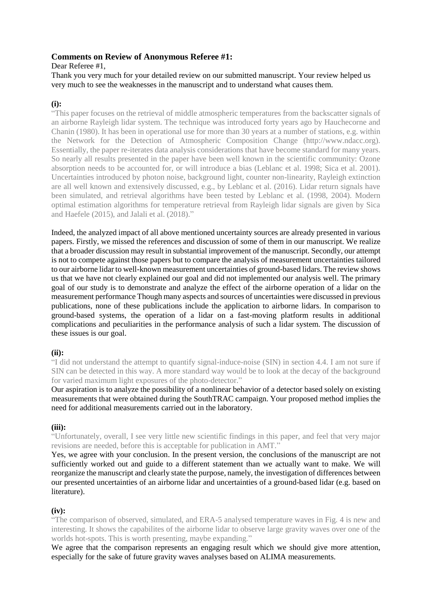# **Comments on Review of Anonymous Referee #1:**

Dear Referee #1,

Thank you very much for your detailed review on our submitted manuscript. Your review helped us very much to see the weaknesses in the manuscript and to understand what causes them.

# **(i):**

"This paper focuses on the retrieval of middle atmospheric temperatures from the backscatter signals of an airborne Rayleigh lidar system. The technique was introduced forty years ago by Hauchecorne and Chanin (1980). It has been in operational use for more than 30 years at a number of stations, e.g. within the Network for the Detection of Atmospheric Composition Change (http://www.ndacc.org). Essentially, the paper re-iterates data analysis considerations that have become standard for many years. So nearly all results presented in the paper have been well known in the scientific community: Ozone absorption needs to be accounted for, or will introduce a bias (Leblanc et al. 1998; Sica et al. 2001). Uncertainties introduced by photon noise, background light, counter non-linearity, Rayleigh extinction are all well known and extensively discussed, e.g., by Leblanc et al. (2016). Lidar return signals have been simulated, and retrieval algorithms have been tested by Leblanc et al. (1998, 2004). Modern optimal estimation algorithms for temperature retrieval from Rayleigh lidar signals are given by Sica and Haefele (2015), and Jalali et al. (2018)."

Indeed, the analyzed impact of all above mentioned uncertainty sources are already presented in various papers. Firstly, we missed the references and discussion of some of them in our manuscript. We realize that a broader discussion may result in substantial improvement of the manuscript. Secondly, our attempt is not to compete against those papers but to compare the analysis of measurement uncertainties tailored to our airborne lidar to well-known measurement uncertainties of ground-based lidars. The review shows us that we have not clearly explained our goal and did not implemented our analysis well. The primary goal of our study is to demonstrate and analyze the effect of the airborne operation of a lidar on the measurement performance Though many aspects and sources of uncertainties were discussed in previous publications, none of these publications include the application to airborne lidars. In comparison to ground-based systems, the operation of a lidar on a fast-moving platform results in additional complications and peculiarities in the performance analysis of such a lidar system. The discussion of these issues is our goal.

# **(ii):**

"I did not understand the attempt to quantify signal-induce-noise (SIN) in section 4.4. I am not sure if SIN can be detected in this way. A more standard way would be to look at the decay of the background for varied maximum light exposures of the photo-detector."

Our aspiration is to analyze the possibility of a nonlinear behavior of a detector based solely on existing measurements that were obtained during the SouthTRAC campaign. Your proposed method implies the need for additional measurements carried out in the laboratory.

# **(iii):**

"Unfortunately, overall, I see very little new scientific findings in this paper, and feel that very major revisions are needed, before this is acceptable for publication in AMT."

Yes, we agree with your conclusion. In the present version, the conclusions of the manuscript are not sufficiently worked out and guide to a different statement than we actually want to make. We will reorganize the manuscript and clearly state the purpose, namely, the investigation of differences between our presented uncertainties of an airborne lidar and uncertainties of a ground-based lidar (e.g. based on literature).

# **(iv):**

"The comparison of observed, simulated, and ERA-5 analysed temperature waves in Fig. 4 is new and interesting. It shows the capabilites of the airborne lidar to observe large gravity waves over one of the worlds hot-spots. This is worth presenting, maybe expanding."

We agree that the comparison represents an engaging result which we should give more attention, especially for the sake of future gravity waves analyses based on ALIMA measurements.